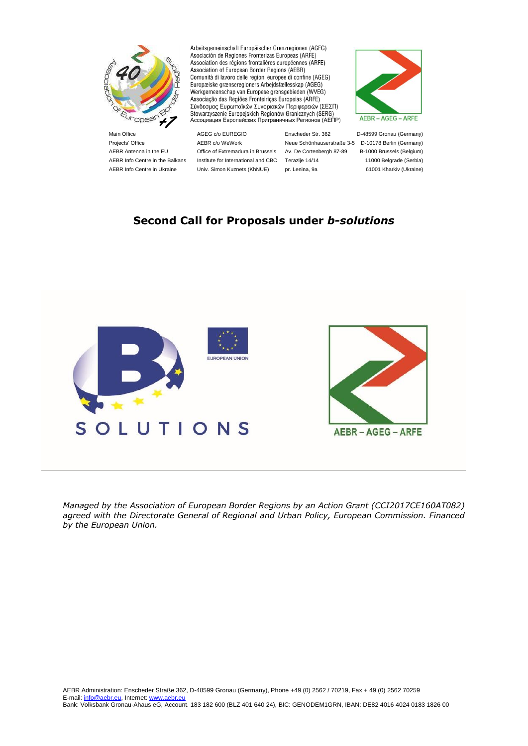

Arbeitsgemeinschaft Europäischer Grenzregionen (AGEG) Asociación de Regiones Fronterizas Europeas (ARFE) Association des régions frontalières européennes (ARFE) Association of European Border Regions (AEBR) Comunità di lavoro delle regioni europee di confine (AGEG) Europæiske grænseregioners Arbejdsfællesskap (AGEG) Werkgemeenschap van Europese grensgebieden (WVEG) Associação das Regiões Fronteiriças Europeias (ARFE) Σύνδεσμος Ευρωπαϊκών Συνοριακών Περιφερειών (ΣΕΣΠ) Stowarzyszenie Europejskich Regionów Granicznych (SERG)<br>Accoциация Европейских Приграничных Регионов (АЕПР)



Projects' Office **AEBR c/o WeWork** Neue Schönhauserstraße 3-5 D-10178 Berlin (Germany) AEBR Antenna in the EU Office of Extremadura in Brussels Av. De Cortenbergh 87-89 B-1000 Brussels (Belgium) AEBR Info Centre in the Balkans Institute for International and CBC Terazije 14/14 11000 Belgrade (Serbia) AEBR Info Centre in Ukraine Univ. Simon Kuznets (KhNUE) pr. Lenina, 9a 61001 Kharkiv (Ukraine)

Main Office **AGEG c/o EUREGIO** Enscheder Str. 362 D-48599 Gronau (Germany)

# **Second Call for Proposals under** *b-solutions*





*Managed by the Association of European Border Regions by an Action Grant (CCI2017CE160AT082) agreed with the Directorate General of Regional and Urban Policy, European Commission. Financed by the European Union.*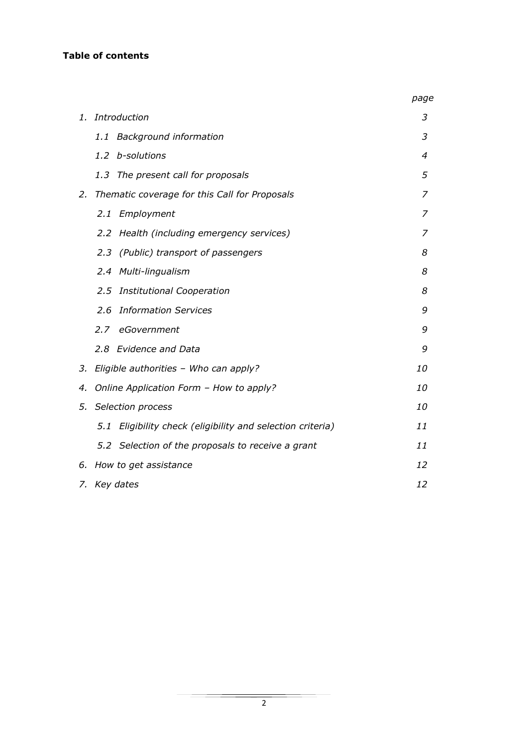#### **Table of contents**

|    |                                                               | page      |
|----|---------------------------------------------------------------|-----------|
| 1. | Introduction                                                  | 3         |
|    | <b>Background information</b><br>1.1                          | 3         |
|    | b-solutions<br>1.2                                            | 4         |
|    | 1.3<br>The present call for proposals                         | 5         |
| 2. | Thematic coverage for this Call for Proposals                 | 7         |
|    | 2.1<br>Employment                                             | 7         |
|    | 2.2 Health (including emergency services)                     | 7         |
|    | (Public) transport of passengers<br>2.3                       | 8         |
|    | Multi-lingualism<br>2.4                                       | 8         |
|    | 2.5<br><b>Institutional Cooperation</b>                       | 8         |
|    | 2.6<br><b>Information Services</b>                            | 9         |
|    | 2.7<br>eGovernment                                            | 9         |
|    | 2.8 Evidence and Data                                         | 9         |
| 3. | Eligible authorities - Who can apply?                         | <i>10</i> |
| 4. | Online Application Form - How to apply?                       | 10        |
| 5. | Selection process                                             | 10        |
|    | Eligibility check (eligibility and selection criteria)<br>5.1 | 11        |
|    | 5.2 Selection of the proposals to receive a grant             | 11        |
| 6. | How to get assistance                                         | 12        |
|    | 7. Key dates                                                  | 12        |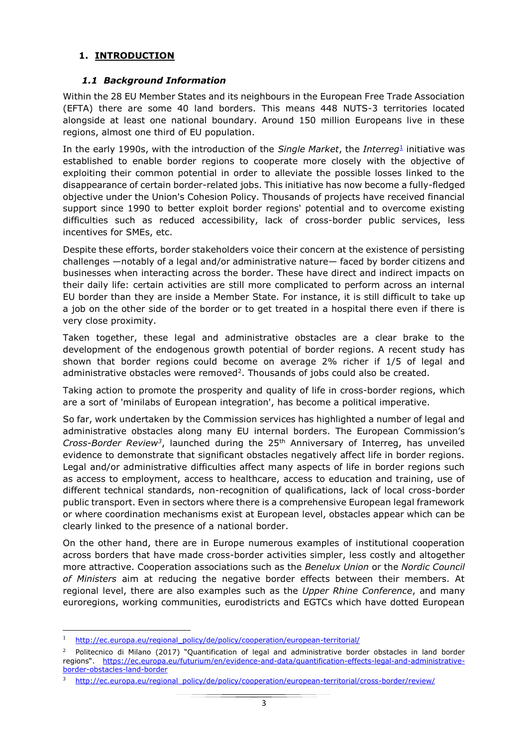#### **1. INTRODUCTION**

#### *1.1 Background Information*

Within the 28 EU Member States and its neighbours in the European Free Trade Association (EFTA) there are some 40 land borders. This means 448 NUTS-3 territories located alongside at least one national boundary. Around 150 million Europeans live in these regions, almost one third of EU population.

In the early 1990s, with the introduction of the *Single Market*, the *Interreg*<sup>1</sup> initiative was established to enable border regions to cooperate more closely with the objective of exploiting their common potential in order to alleviate the possible losses linked to the disappearance of certain border-related jobs. This initiative has now become a fully-fledged objective under the Union's Cohesion Policy. Thousands of projects have received financial support since 1990 to better exploit border regions' potential and to overcome existing difficulties such as reduced accessibility, lack of cross-border public services, less incentives for SMEs, etc.

Despite these efforts, border stakeholders voice their concern at the existence of persisting challenges —notably of a legal and/or administrative nature— faced by border citizens and businesses when interacting across the border. These have direct and indirect impacts on their daily life: certain activities are still more complicated to perform across an internal EU border than they are inside a Member State. For instance, it is still difficult to take up a job on the other side of the border or to get treated in a hospital there even if there is very close proximity.

Taken together, these legal and administrative obstacles are a clear brake to the development of the endogenous growth potential of border regions. A recent study has shown that border regions could become on average 2% richer if 1/5 of legal and administrative obstacles were removed<sup>2</sup>. Thousands of jobs could also be created.

Taking action to promote the prosperity and quality of life in cross-border regions, which are a sort of 'minilabs of European integration', has become a political imperative.

So far, work undertaken by the Commission services has highlighted a number of legal and administrative obstacles along many EU internal borders. The European Commission's *Cross-Border Review<sup>3</sup>* , launched during the 25th Anniversary of Interreg, has unveiled evidence to demonstrate that significant obstacles negatively affect life in border regions. Legal and/or administrative difficulties affect many aspects of life in border regions such as access to employment, access to healthcare, access to education and training, use of different technical standards, non-recognition of qualifications, lack of local cross-border public transport. Even in sectors where there is a comprehensive European legal framework or where coordination mechanisms exist at European level, obstacles appear which can be clearly linked to the presence of a national border.

On the other hand, there are in Europe numerous examples of institutional cooperation across borders that have made cross-border activities simpler, less costly and altogether more attractive. Cooperation associations such as the *Benelux Union* or the *Nordic Council of Ministers* aim at reducing the negative border effects between their members. At regional level, there are also examples such as the *Upper Rhine Conference*, and many euroregions, working communities, eurodistricts and EGTCs which have dotted European

 $\overline{a}$ 

<sup>&</sup>lt;sup>1</sup> [http://ec.europa.eu/regional\\_policy/de/policy/cooperation/european-territorial/](http://ec.europa.eu/regional_policy/de/policy/cooperation/european-territorial/)

<sup>2</sup> Politecnico di Milano (2017) "Quantification of legal and administrative border obstacles in land border regions". [https://ec.europa.eu/futurium/en/evidence-and-data/quantification-effects-legal-and-administrative](https://ec.europa.eu/futurium/en/evidence-and-data/quantification-effects-legal-and-administrative-border-obstacles-land-border)[border-obstacles-land-border](https://ec.europa.eu/futurium/en/evidence-and-data/quantification-effects-legal-and-administrative-border-obstacles-land-border)

<sup>3</sup> [http://ec.europa.eu/regional\\_policy/de/policy/cooperation/european-territorial/cross-border/review/](http://ec.europa.eu/regional_policy/de/policy/cooperation/european-territorial/cross-border/review/)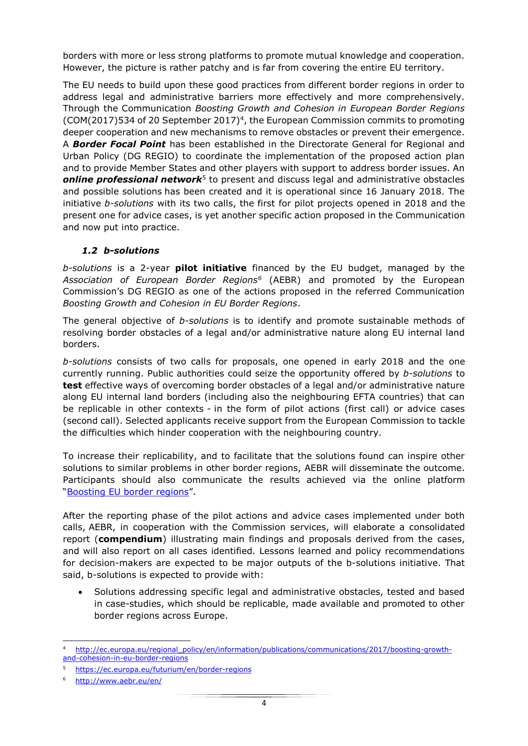borders with more or less strong platforms to promote mutual knowledge and cooperation. However, the picture is rather patchy and is far from covering the entire EU territory.

The EU needs to build upon these good practices from different border regions in order to address legal and administrative barriers more effectively and more comprehensively. Through the Communication *Boosting Growth and Cohesion in European Border Regions*   $(COM(2017)534$  of 20 September 2017)<sup>4</sup>, the European Commission commits to promoting deeper cooperation and new mechanisms to remove obstacles or prevent their emergence. A *Border Focal Point* has been established in the Directorate General for Regional and Urban Policy (DG REGIO) to coordinate the implementation of the proposed action plan and to provide Member States and other players with support to address border issues. An **online professional network**<sup>5</sup> to present and discuss legal and administrative obstacles and possible solutions has been created and it is operational since 16 January 2018. The initiative *b-solutions* with its two calls, the first for pilot projects opened in 2018 and the present one for advice cases, is yet another specific action proposed in the Communication and now put into practice.

#### *1.2 b-solutions*

*b-solutions* is a 2-year **pilot initiative** financed by the EU budget, managed by the *Association of European Border Regions<sup>6</sup>* (AEBR) and promoted by the European Commission's DG REGIO as one of the actions proposed in the referred Communication *Boosting Growth and Cohesion in EU Border Regions*.

The general objective of *b-solutions* is to identify and promote sustainable methods of resolving border obstacles of a legal and/or administrative nature along EU internal land borders.

*b-solutions* consists of two calls for proposals, one opened in early 2018 and the one currently running. Public authorities could seize the opportunity offered by *b-solutions* to **test** effective ways of overcoming border obstacles of a legal and/or administrative nature along EU internal land borders (including also the neighbouring EFTA countries) that can be replicable in other contexts - in the form of pilot actions (first call) or advice cases (second call). Selected applicants receive support from the European Commission to tackle the difficulties which hinder cooperation with the neighbouring country.

To increase their replicability, and to facilitate that the solutions found can inspire other solutions to similar problems in other border regions, AEBR will disseminate the outcome. Participants should also communicate the results achieved via the online platform "[Boosting EU border regions](https://ec.europa.eu/futurium/en/border-regions)".

After the reporting phase of the pilot actions and advice cases implemented under both calls, AEBR, in cooperation with the Commission services, will elaborate a consolidated report (**compendium**) illustrating main findings and proposals derived from the cases, and will also report on all cases identified. Lessons learned and policy recommendations for decision-makers are expected to be major outputs of the b-solutions initiative. That said, b-solutions is expected to provide with:

 Solutions addressing specific legal and administrative obstacles, tested and based in case-studies, which should be replicable, made available and promoted to other border regions across Europe.

 $\overline{\phantom{a}}$ <sup>4</sup> [http://ec.europa.eu/regional\\_policy/en/information/publications/communications/2017/boosting-growth](http://ec.europa.eu/regional_policy/en/information/publications/communications/2017/boosting-growth-and-cohesion-in-eu-border-regions)[and-cohesion-in-eu-border-regions](http://ec.europa.eu/regional_policy/en/information/publications/communications/2017/boosting-growth-and-cohesion-in-eu-border-regions)

<sup>5</sup> <https://ec.europa.eu/futurium/en/border-regions>

<sup>6</sup> <http://www.aebr.eu/en/>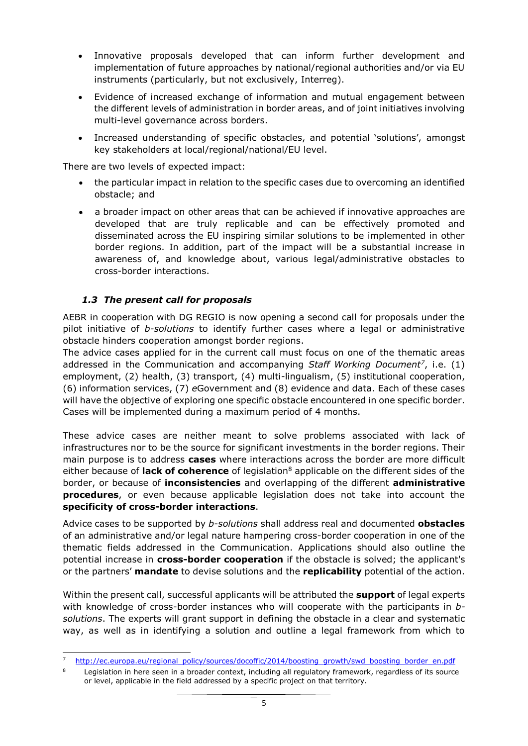- Innovative proposals developed that can inform further development and implementation of future approaches by national/regional authorities and/or via EU instruments (particularly, but not exclusively, Interreg).
- Evidence of increased exchange of information and mutual engagement between the different levels of administration in border areas, and of joint initiatives involving multi-level governance across borders.
- Increased understanding of specific obstacles, and potential 'solutions', amongst key stakeholders at local/regional/national/EU level.

There are two levels of expected impact:

- the particular impact in relation to the specific cases due to overcoming an identified obstacle; and
- a broader impact on other areas that can be achieved if innovative approaches are developed that are truly replicable and can be effectively promoted and disseminated across the EU inspiring similar solutions to be implemented in other border regions. In addition, part of the impact will be a substantial increase in awareness of, and knowledge about, various legal/administrative obstacles to cross-border interactions.

### *1.3 The present call for proposals*

 $\overline{\phantom{a}}$ 

AEBR in cooperation with DG REGIO is now opening a second call for proposals under the pilot initiative of *b-solutions* to identify further cases where a legal or administrative obstacle hinders cooperation amongst border regions.

The advice cases applied for in the current call must focus on one of the thematic areas addressed in the Communication and accompanying *Staff Working Document<sup>7</sup>* , i.e. (1) employment, (2) health, (3) transport, (4) multi-lingualism, (5) institutional cooperation, (6) information services, (7) *e*Government and (8) evidence and data. Each of these cases will have the objective of exploring one specific obstacle encountered in one specific border. Cases will be implemented during a maximum period of 4 months.

These advice cases are neither meant to solve problems associated with lack of infrastructures nor to be the source for significant investments in the border regions. Their main purpose is to address **cases** where interactions across the border are more difficult either because of **lack of coherence** of legislation<sup>8</sup> applicable on the different sides of the border, or because of **inconsistencies** and overlapping of the different **administrative procedures**, or even because applicable legislation does not take into account the **specificity of cross-border interactions**.

Advice cases to be supported by *b-solutions* shall address real and documented **obstacles** of an administrative and/or legal nature hampering cross-border cooperation in one of the thematic fields addressed in the Communication. Applications should also outline the potential increase in **cross-border cooperation** if the obstacle is solved; the applicant's or the partners' **mandate** to devise solutions and the **replicability** potential of the action.

Within the present call, successful applicants will be attributed the **support** of legal experts with knowledge of cross-border instances who will cooperate with the participants in *bsolutions*. The experts will grant support in defining the obstacle in a clear and systematic way, as well as in identifying a solution and outline a legal framework from which to

[http://ec.europa.eu/regional\\_policy/sources/docoffic/2014/boosting\\_growth/swd\\_boosting\\_border\\_en.pdf](http://ec.europa.eu/regional_policy/sources/docoffic/2014/boosting_growth/swd_boosting_border_en.pdf)

Legislation in here seen in a broader context, including all regulatory framework, regardless of its source or level, applicable in the field addressed by a specific project on that territory.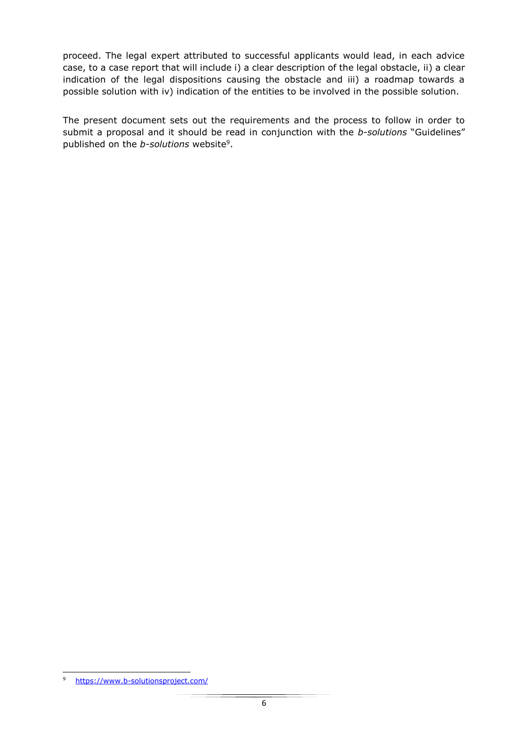proceed. The legal expert attributed to successful applicants would lead, in each advice case, to a case report that will include i) a clear description of the legal obstacle, ii) a clear indication of the legal dispositions causing the obstacle and iii) a roadmap towards a possible solution with iv) indication of the entities to be involved in the possible solution.

The present document sets out the requirements and the process to follow in order to submit a proposal and it should be read in conjunction with the *b-solutions* "Guidelines" published on the *b-solutions* website<sup>9</sup>.

 $\overline{\phantom{a}}$ 

<sup>9</sup> <https://www.b-solutionsproject.com/>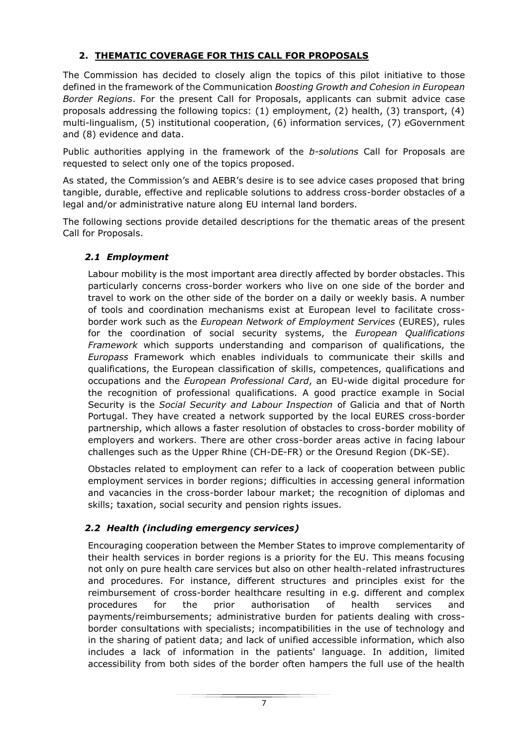# **2. THEMATIC COVERAGE FOR THIS CALL FOR PROPOSALS**

The Commission has decided to closely align the topics of this pilot initiative to those defined in the framework of the Communication *Boosting Growth and Cohesion in European Border Regions*. For the present Call for Proposals, applicants can submit advice case proposals addressing the following topics: (1) employment, (2) health, (3) transport, (4) multi-lingualism, (5) institutional cooperation, (6) information services, (7) *e*Government and (8) evidence and data.

Public authorities applying in the framework of the *b-solutions* Call for Proposals are requested to select only one of the topics proposed.

As stated, the Commission's and AEBR's desire is to see advice cases proposed that bring tangible, durable, effective and replicable solutions to address cross-border obstacles of a legal and/or administrative nature along EU internal land borders.

The following sections provide detailed descriptions for the thematic areas of the present Call for Proposals.

### *2.1 Employment*

Labour mobility is the most important area directly affected by border obstacles. This particularly concerns cross-border workers who live on one side of the border and travel to work on the other side of the border on a daily or weekly basis. A number of tools and coordination mechanisms exist at European level to facilitate crossborder work such as the *European Network of Employment Services* (EURES), rules for the coordination of social security systems, the *European Qualifications Framework* which supports understanding and comparison of qualifications, the *Europass* Framework which enables individuals to communicate their skills and qualifications, the European classification of skills, competences, qualifications and occupations and the *European Professional Card*, an EU-wide digital procedure for the recognition of professional qualifications. A good practice example in Social Security is the *Social Security and Labour Inspection* of Galicia and that of North Portugal. They have created a network supported by the local EURES cross-border partnership, which allows a faster resolution of obstacles to cross-border mobility of employers and workers. There are other cross-border areas active in facing labour challenges such as the Upper Rhine (CH-DE-FR) or the Oresund Region (DK-SE).

Obstacles related to employment can refer to a lack of cooperation between public employment services in border regions; difficulties in accessing general information and vacancies in the cross-border labour market; the recognition of diplomas and skills; taxation, social security and pension rights issues.

# *2.2 Health (including emergency services)*

Encouraging cooperation between the Member States to improve complementarity of their health services in border regions is a priority for the EU. This means focusing not only on pure health care services but also on other health-related infrastructures and procedures. For instance, different structures and principles exist for the reimbursement of cross-border healthcare resulting in e.g. different and complex procedures for the prior authorisation of health services and payments/reimbursements; administrative burden for patients dealing with crossborder consultations with specialists; incompatibilities in the use of technology and in the sharing of patient data; and lack of unified accessible information, which also includes a lack of information in the patients' language. In addition, limited accessibility from both sides of the border often hampers the full use of the health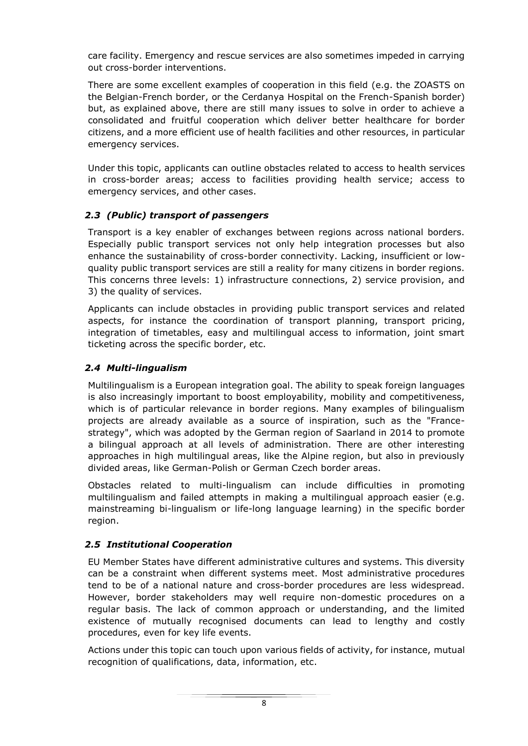care facility. Emergency and rescue services are also sometimes impeded in carrying out cross-border interventions.

There are some excellent examples of cooperation in this field (e.g. the ZOASTS on the Belgian-French border, or the Cerdanya Hospital on the French-Spanish border) but, as explained above, there are still many issues to solve in order to achieve a consolidated and fruitful cooperation which deliver better healthcare for border citizens, and a more efficient use of health facilities and other resources, in particular emergency services.

Under this topic, applicants can outline obstacles related to access to health services in cross-border areas; access to facilities providing health service; access to emergency services, and other cases.

#### *2.3 (Public) transport of passengers*

Transport is a key enabler of exchanges between regions across national borders. Especially public transport services not only help integration processes but also enhance the sustainability of cross-border connectivity. Lacking, insufficient or lowquality public transport services are still a reality for many citizens in border regions. This concerns three levels: 1) infrastructure connections, 2) service provision, and 3) the quality of services.

Applicants can include obstacles in providing public transport services and related aspects, for instance the coordination of transport planning, transport pricing, integration of timetables, easy and multilingual access to information, joint smart ticketing across the specific border, etc.

#### *2.4 Multi-lingualism*

Multilingualism is a European integration goal. The ability to speak foreign languages is also increasingly important to boost employability, mobility and competitiveness, which is of particular relevance in border regions. Many examples of bilingualism projects are already available as a source of inspiration, such as the "Francestrategy", which was adopted by the German region of Saarland in 2014 to promote a bilingual approach at all levels of administration. There are other interesting approaches in high multilingual areas, like the Alpine region, but also in previously divided areas, like German-Polish or German Czech border areas.

Obstacles related to multi-lingualism can include difficulties in promoting multilingualism and failed attempts in making a multilingual approach easier (e.g. mainstreaming bi-lingualism or life-long language learning) in the specific border region.

#### *2.5 Institutional Cooperation*

EU Member States have different administrative cultures and systems. This diversity can be a constraint when different systems meet. Most administrative procedures tend to be of a national nature and cross-border procedures are less widespread. However, border stakeholders may well require non-domestic procedures on a regular basis. The lack of common approach or understanding, and the limited existence of mutually recognised documents can lead to lengthy and costly procedures, even for key life events.

Actions under this topic can touch upon various fields of activity, for instance, mutual recognition of qualifications, data, information, etc.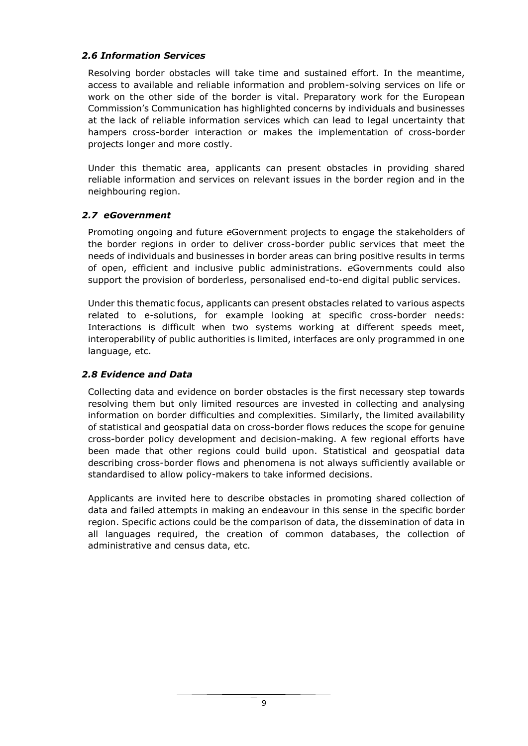#### *2.6 Information Services*

Resolving border obstacles will take time and sustained effort. In the meantime, access to available and reliable information and problem-solving services on life or work on the other side of the border is vital. Preparatory work for the European Commission's Communication has highlighted concerns by individuals and businesses at the lack of reliable information services which can lead to legal uncertainty that hampers cross-border interaction or makes the implementation of cross-border projects longer and more costly.

Under this thematic area, applicants can present obstacles in providing shared reliable information and services on relevant issues in the border region and in the neighbouring region.

#### *2.7 eGovernment*

Promoting ongoing and future *e*Government projects to engage the stakeholders of the border regions in order to deliver cross-border public services that meet the needs of individuals and businesses in border areas can bring positive results in terms of open, efficient and inclusive public administrations. *e*Governments could also support the provision of borderless, personalised end-to-end digital public services.

Under this thematic focus, applicants can present obstacles related to various aspects related to e-solutions, for example looking at specific cross-border needs: Interactions is difficult when two systems working at different speeds meet, interoperability of public authorities is limited, interfaces are only programmed in one language, etc.

#### *2.8 Evidence and Data*

Collecting data and evidence on border obstacles is the first necessary step towards resolving them but only limited resources are invested in collecting and analysing information on border difficulties and complexities. Similarly, the limited availability of statistical and geospatial data on cross-border flows reduces the scope for genuine cross-border policy development and decision-making. A few regional efforts have been made that other regions could build upon. Statistical and geospatial data describing cross-border flows and phenomena is not always sufficiently available or standardised to allow policy-makers to take informed decisions.

Applicants are invited here to describe obstacles in promoting shared collection of data and failed attempts in making an endeavour in this sense in the specific border region. Specific actions could be the comparison of data, the dissemination of data in all languages required, the creation of common databases, the collection of administrative and census data, etc.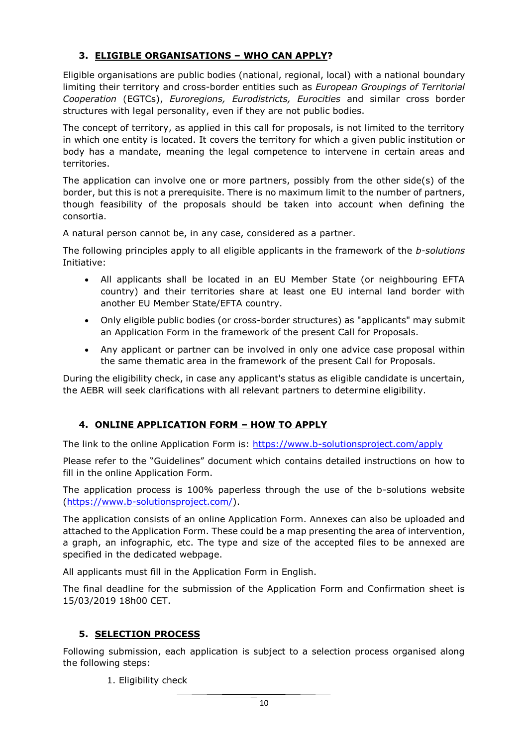# **3. ELIGIBLE ORGANISATIONS – WHO CAN APPLY?**

Eligible organisations are public bodies (national, regional, local) with a national boundary limiting their territory and cross-border entities such as *European Groupings of Territorial Cooperation* (EGTCs), *Euroregions, Eurodistricts, Eurocities* and similar cross border structures with legal personality, even if they are not public bodies.

The concept of territory, as applied in this call for proposals, is not limited to the territory in which one entity is located. It covers the territory for which a given public institution or body has a mandate, meaning the legal competence to intervene in certain areas and territories.

The application can involve one or more partners, possibly from the other side(s) of the border, but this is not a prerequisite. There is no maximum limit to the number of partners, though feasibility of the proposals should be taken into account when defining the consortia.

A natural person cannot be, in any case, considered as a partner.

The following principles apply to all eligible applicants in the framework of the *b-solutions* Initiative:

- All applicants shall be located in an EU Member State (or neighbouring EFTA country) and their territories share at least one EU internal land border with another EU Member State/EFTA country.
- Only eligible public bodies (or cross-border structures) as "applicants" may submit an Application Form in the framework of the present Call for Proposals.
- Any applicant or partner can be involved in only one advice case proposal within the same thematic area in the framework of the present Call for Proposals.

During the eligibility check, in case any applicant's status as eligible candidate is uncertain, the AEBR will seek clarifications with all relevant partners to determine eligibility.

# **4. ONLINE APPLICATION FORM – HOW TO APPLY**

The link to the online Application Form is:<https://www.b-solutionsproject.com/apply>

Please refer to the "Guidelines" document which contains detailed instructions on how to fill in the online Application Form.

The application process is 100% paperless through the use of the b-solutions website [\(https://www.b-solutionsproject.com/\)](https://www.b-solutionsproject.com/).

The application consists of an online Application Form. Annexes can also be uploaded and attached to the Application Form. These could be a map presenting the area of intervention, a graph, an infographic, etc. The type and size of the accepted files to be annexed are specified in the dedicated webpage.

All applicants must fill in the Application Form in English.

The final deadline for the submission of the Application Form and Confirmation sheet is 15/03/2019 18h00 CET.

# **5. SELECTION PROCESS**

Following submission, each application is subject to a selection process organised along the following steps:

1. Eligibility check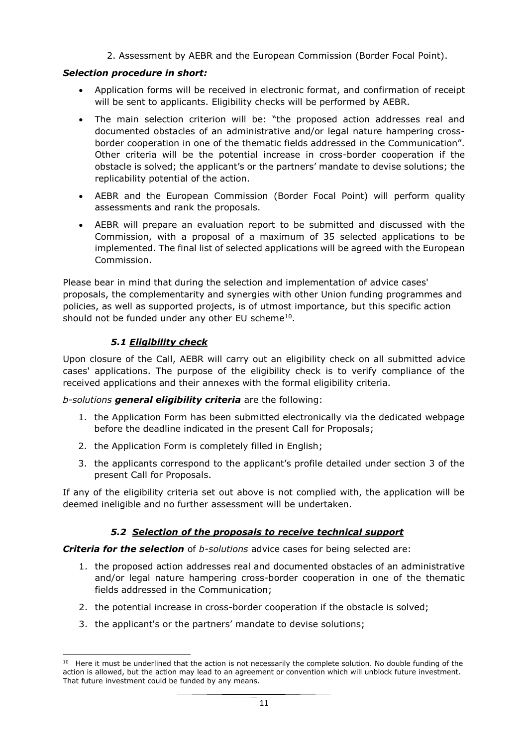2. Assessment by AEBR and the European Commission (Border Focal Point).

#### *Selection procedure in short:*

- Application forms will be received in electronic format, and confirmation of receipt will be sent to applicants. Eligibility checks will be performed by AEBR.
- The main selection criterion will be: "the proposed action addresses real and documented obstacles of an administrative and/or legal nature hampering crossborder cooperation in one of the thematic fields addressed in the Communication". Other criteria will be the potential increase in cross-border cooperation if the obstacle is solved; the applicant's or the partners' mandate to devise solutions; the replicability potential of the action.
- AEBR and the European Commission (Border Focal Point) will perform quality assessments and rank the proposals.
- AEBR will prepare an evaluation report to be submitted and discussed with the Commission, with a proposal of a maximum of 35 selected applications to be implemented. The final list of selected applications will be agreed with the European Commission.

Please bear in mind that during the selection and implementation of advice cases' proposals, the complementarity and synergies with other Union funding programmes and policies, as well as supported projects, is of utmost importance, but this specific action should not be funded under any other EU scheme $^{10}$ .

### *5.1 Eligibility check*

 $\overline{\phantom{a}}$ 

Upon closure of the Call, AEBR will carry out an eligibility check on all submitted advice cases' applications. The purpose of the eligibility check is to verify compliance of the received applications and their annexes with the formal eligibility criteria.

#### *b-solutions general eligibility criteria* are the following:

- 1. the Application Form has been submitted electronically via the dedicated webpage before the deadline indicated in the present Call for Proposals;
- 2. the Application Form is completely filled in English;
- 3. the applicants correspond to the applicant's profile detailed under section 3 of the present Call for Proposals.

If any of the eligibility criteria set out above is not complied with, the application will be deemed ineligible and no further assessment will be undertaken.

#### *5.2 Selection of the proposals to receive technical support*

*Criteria for the selection* of *b-solutions* advice cases for being selected are:

- 1. the proposed action addresses real and documented obstacles of an administrative and/or legal nature hampering cross-border cooperation in one of the thematic fields addressed in the Communication;
- 2. the potential increase in cross-border cooperation if the obstacle is solved;
- 3. the applicant's or the partners' mandate to devise solutions;

<sup>&</sup>lt;sup>10</sup> Here it must be underlined that the action is not necessarily the complete solution. No double funding of the action is allowed, but the action may lead to an agreement or convention which will unblock future investment. That future investment could be funded by any means.